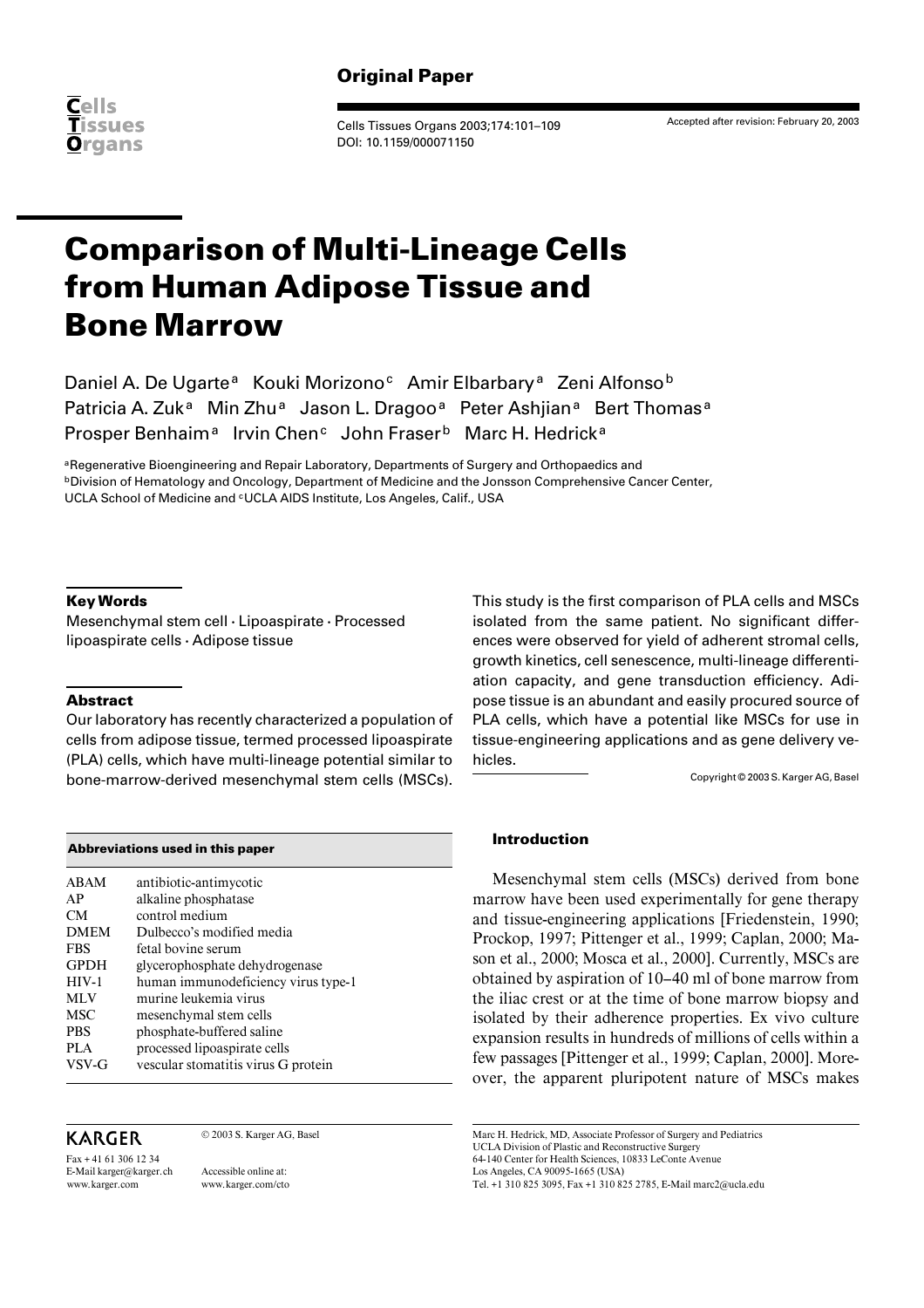

Cells Tissues Organs 2003;174:101–109 DOI: 10.1159/000071150

Accepted after revision: February 20, 2003

# **Comparison of Multi-Lineage Cells from Human Adipose Tissue and Bone Marrow**

Daniel A. De Ugarte<sup>a</sup> Kouki Morizono<sup>c</sup> Amir Elbarbary<sup>a</sup> Zeni Alfonso<sup>b</sup> Patricia A. Zuk<sup>a</sup> Min Zhu<sup>a</sup> Jason L. Dragoo<sup>a</sup> Peter Ashiian<sup>a</sup> Bert Thomas<sup>a</sup> Prosper Benhaim<sup>a</sup> Irvin Chen<sup>c</sup> John Fraser<sup>b</sup> Marc H. Hedrick<sup>a</sup>

aRegenerative Bioengineering and Repair Laboratory, Departments of Surgery and Orthopaedics and **bDivision of Hematology and Oncology, Department of Medicine and the Jonsson Comprehensive Cancer Center,** UCLA School of Medicine and <sup>c</sup>UCLA AIDS Institute, Los Angeles, Calif., USA

## **Key Words**

Mesenchymal stem cell  $\cdot$  Lipoaspirate  $\cdot$  Processed  $lipoaspirate cells · Adipose tissue$ 

## **Abstract**

Our laboratory has recently characterized a population of cells from adipose tissue, termed processed lipoaspirate (PLA) cells, which have multi-lineage potential similar to bone-marrow-derived mesenchymal stem cells (MSCs).

| Abbreviations used in this paper |                                                |  |  |  |  |  |  |
|----------------------------------|------------------------------------------------|--|--|--|--|--|--|
| ABAM<br>AP                       | antibiotic-antimycotic<br>alkaline phosphatase |  |  |  |  |  |  |
| <b>CM</b>                        | control medium                                 |  |  |  |  |  |  |
| <b>DMEM</b>                      | Dulbecco's modified media                      |  |  |  |  |  |  |
| <b>FBS</b>                       | fetal bovine serum                             |  |  |  |  |  |  |
| <b>GPDH</b>                      | glycerophosphate dehydrogenase                 |  |  |  |  |  |  |
| $HIV-1$                          | human immunodeficiency virus type-1            |  |  |  |  |  |  |
| <b>MLV</b>                       | murine leukemia virus                          |  |  |  |  |  |  |
| <b>MSC</b>                       | mesenchymal stem cells                         |  |  |  |  |  |  |
| <b>PRS</b>                       | phosphate-buffered saline                      |  |  |  |  |  |  |
| PLA                              | processed lipoaspirate cells                   |  |  |  |  |  |  |
| VSV-G                            | vescular stomatitis virus G protein            |  |  |  |  |  |  |

# KARGER

Fax + 41 61 306 12 34 E-Mail karger@karger.ch www.karger.com

© 2003 S. Karger AG, Basel

Accessible online at: www.karger.com/cto This study is the first comparison of PLA cells and MSCs isolated from the same patient. No significant differences were observed for yield of adherent stromal cells, growth kinetics, cell senescence, multi-lineage differentiation capacity, and gene transduction efficiency. Adipose tissue is an abundant and easily procured source of PLA cells, which have a potential like MSCs for use in tissue-engineering applications and as gene delivery vehicles.

Copyright © 2003 S. Karger AG, Basel

## **Introduction**

Mesenchymal stem cells (MSCs) derived from bone marrow have been used experimentally for gene therapy and tissue-engineering applications [Friedenstein, 1990; Prockop, 1997; Pittenger et al., 1999; Caplan, 2000; Mason et al., 2000; Mosca et al., 2000]. Currently, MSCs are obtained by aspiration of 10–40 ml of bone marrow from the iliac crest or at the time of bone marrow biopsy and isolated by their adherence properties. Ex vivo culture expansion results in hundreds of millions of cells within a few passages [Pittenger et al., 1999; Caplan, 2000]. Moreover, the apparent pluripotent nature of MSCs makes

Marc H. Hedrick, MD, Associate Professor of Surgery and Pediatrics UCLA Division of Plastic and Reconstructive Surgery 64-140 Center for Health Sciences, 10833 LeConte Avenue Los Angeles, CA 90095-1665 (USA)

Tel. +1 310 825 3095, Fax +1 310 825 2785, E-Mail marc2@ucla.edu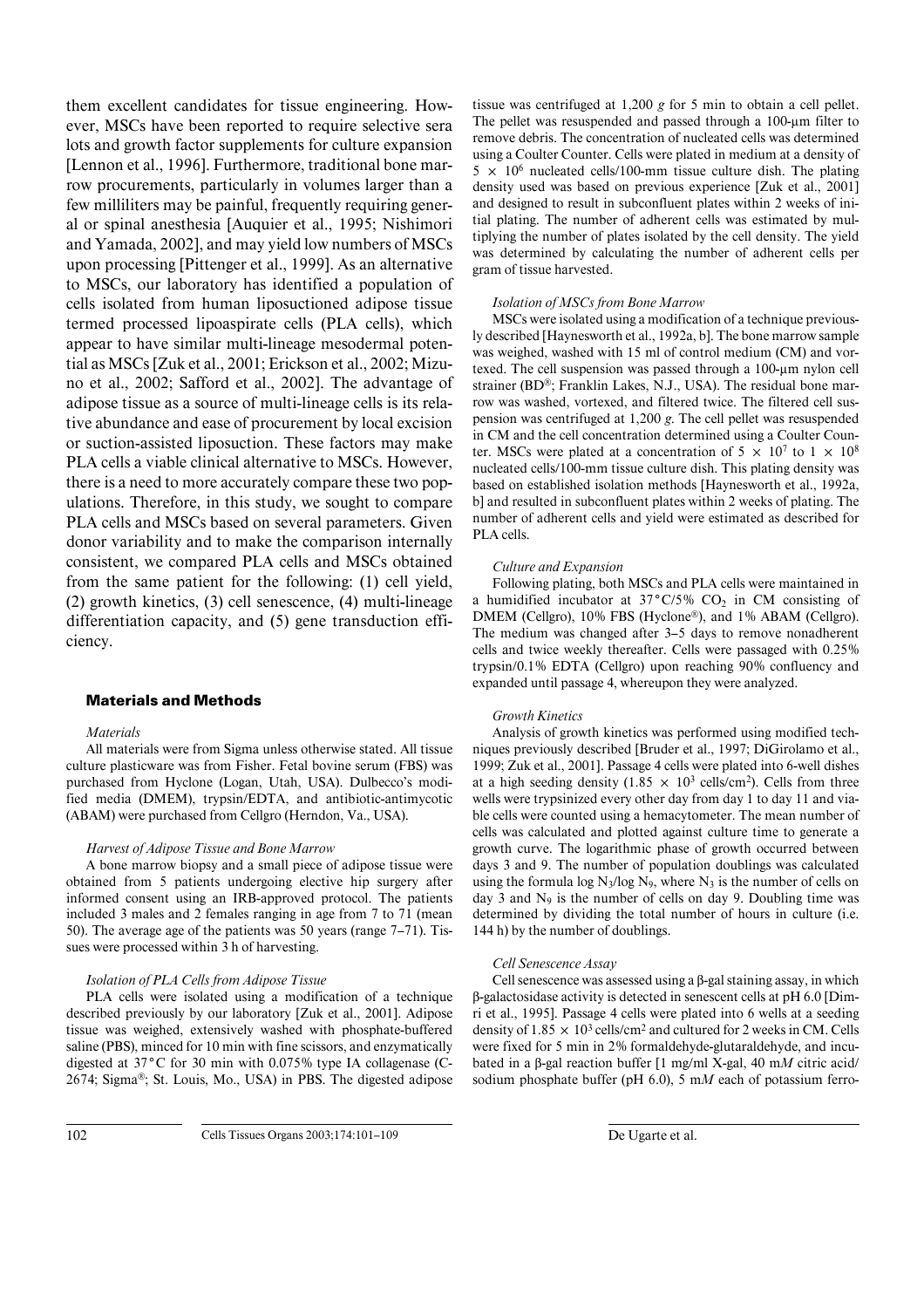them excellent candidates for tissue engineering. However, MSCs have been reported to require selective sera lots and growth factor supplements for culture expansion [Lennon et al., 1996]. Furthermore, traditional bone marrow procurements, particularly in volumes larger than a few milliliters may be painful, frequently requiring general or spinal anesthesia [Auquier et al., 1995; Nishimori and Yamada, 2002], and may yield low numbers of MSCs upon processing [Pittenger et al., 1999]. As an alternative to MSCs, our laboratory has identified a population of cells isolated from human liposuctioned adipose tissue termed processed lipoaspirate cells (PLA cells), which appear to have similar multi-lineage mesodermal potential as MSCs [Zuk et al., 2001; Erickson et al., 2002; Mizuno et al., 2002; Safford et al., 2002]. The advantage of adipose tissue as a source of multi-lineage cells is its relative abundance and ease of procurement by local excision or suction-assisted liposuction. These factors may make PLA cells a viable clinical alternative to MSCs. However, there is a need to more accurately compare these two populations. Therefore, in this study, we sought to compare PLA cells and MSCs based on several parameters. Given donor variability and to make the comparison internally consistent, we compared PLA cells and MSCs obtained from the same patient for the following: (1) cell yield, (2) growth kinetics, (3) cell senescence, (4) multi-lineage differentiation capacity, and (5) gene transduction efficiency.

## **Materials and Methods**

#### *Materials*

All materials were from Sigma unless otherwise stated. All tissue culture plasticware was from Fisher. Fetal bovine serum (FBS) was purchased from Hyclone (Logan, Utah, USA). Dulbecco's modified media (DMEM), trypsin/EDTA, and antibiotic-antimycotic (ABAM) were purchased from Cellgro (Herndon, Va., USA).

#### *Harvest of Adipose Tissue and Bone Marrow*

A bone marrow biopsy and a small piece of adipose tissue were obtained from 5 patients undergoing elective hip surgery after informed consent using an IRB-approved protocol. The patients included 3 males and 2 females ranging in age from 7 to 71 (mean 50). The average age of the patients was 50 years (range 7–71). Tissues were processed within 3 h of harvesting.

#### *Isolation of PLA Cells from Adipose Tissue*

PLA cells were isolated using a modification of a technique described previously by our laboratory [Zuk et al., 2001]. Adipose tissue was weighed, extensively washed with phosphate-buffered saline (PBS), minced for 10 min with fine scissors, and enzymatically digested at 37**°**C for 30 min with 0.075% type IA collagenase (C-2674; Sigma®; St. Louis, Mo., USA) in PBS. The digested adipose

tissue was centrifuged at 1,200 *g* for 5 min to obtain a cell pellet. The pellet was resuspended and passed through a  $100$ - $\mu$ m filter to remove debris. The concentration of nucleated cells was determined using a Coulter Counter. Cells were plated in medium at a density of  $5 \times 10^6$  nucleated cells/100-mm tissue culture dish. The plating density used was based on previous experience [Zuk et al., 2001] and designed to result in subconfluent plates within 2 weeks of initial plating. The number of adherent cells was estimated by multiplying the number of plates isolated by the cell density. The yield was determined by calculating the number of adherent cells per gram of tissue harvested.

#### *Isolation of MSCs from Bone Marrow*

MSCs were isolated using a modification of a technique previously described [Haynesworth et al., 1992a, b]. The bone marrow sample was weighed, washed with 15 ml of control medium (CM) and vortexed. The cell suspension was passed through a  $100$ - $\mu$ m nylon cell strainer (BD®; Franklin Lakes, N.J., USA). The residual bone marrow was washed, vortexed, and filtered twice. The filtered cell suspension was centrifuged at 1,200 *g*. The cell pellet was resuspended in CM and the cell concentration determined using a Coulter Counter. MSCs were plated at a concentration of  $5 \times 10^7$  to  $1 \times 10^8$ nucleated cells/100-mm tissue culture dish. This plating density was based on established isolation methods [Haynesworth et al., 1992a, b] and resulted in subconfluent plates within 2 weeks of plating. The number of adherent cells and yield were estimated as described for PLA cells.

#### *Culture and Expansion*

Following plating, both MSCs and PLA cells were maintained in a humidified incubator at 37°C/5% CO<sub>2</sub> in CM consisting of DMEM (Cellgro), 10% FBS (Hyclone®), and 1% ABAM (Cellgro). The medium was changed after 3–5 days to remove nonadherent cells and twice weekly thereafter. Cells were passaged with 0.25% trypsin/0.1% EDTA (Cellgro) upon reaching 90% confluency and expanded until passage 4, whereupon they were analyzed.

#### *Growth Kinetics*

Analysis of growth kinetics was performed using modified techniques previously described [Bruder et al., 1997; DiGirolamo et al., 1999; Zuk et al., 2001]. Passage 4 cells were plated into 6-well dishes at a high seeding density (1.85  $\times$  10<sup>3</sup> cells/cm<sup>2</sup>). Cells from three wells were trypsinized every other day from day 1 to day 11 and viable cells were counted using a hemacytometer. The mean number of cells was calculated and plotted against culture time to generate a growth curve. The logarithmic phase of growth occurred between days 3 and 9. The number of population doublings was calculated using the formula log  $N_3$ /log  $N_9$ , where  $N_3$  is the number of cells on day 3 and  $N_9$  is the number of cells on day 9. Doubling time was determined by dividing the total number of hours in culture (i.e. 144 h) by the number of doublings.

#### *Cell Senescence Assay*

Cell senescence was assessed using a ß-gal staining assay, in which ß-galactosidase activity is detected in senescent cells at pH 6.0 [Dimri et al., 1995]. Passage 4 cells were plated into 6 wells at a seeding density of  $1.85 \times 10^3$  cells/cm<sup>2</sup> and cultured for 2 weeks in CM. Cells were fixed for 5 min in 2% formaldehyde-glutaraldehyde, and incubated in a ß-gal reaction buffer [1 mg/ml X-gal, 40 m*M* citric acid/ sodium phosphate buffer (pH 6.0), 5 m*M* each of potassium ferro-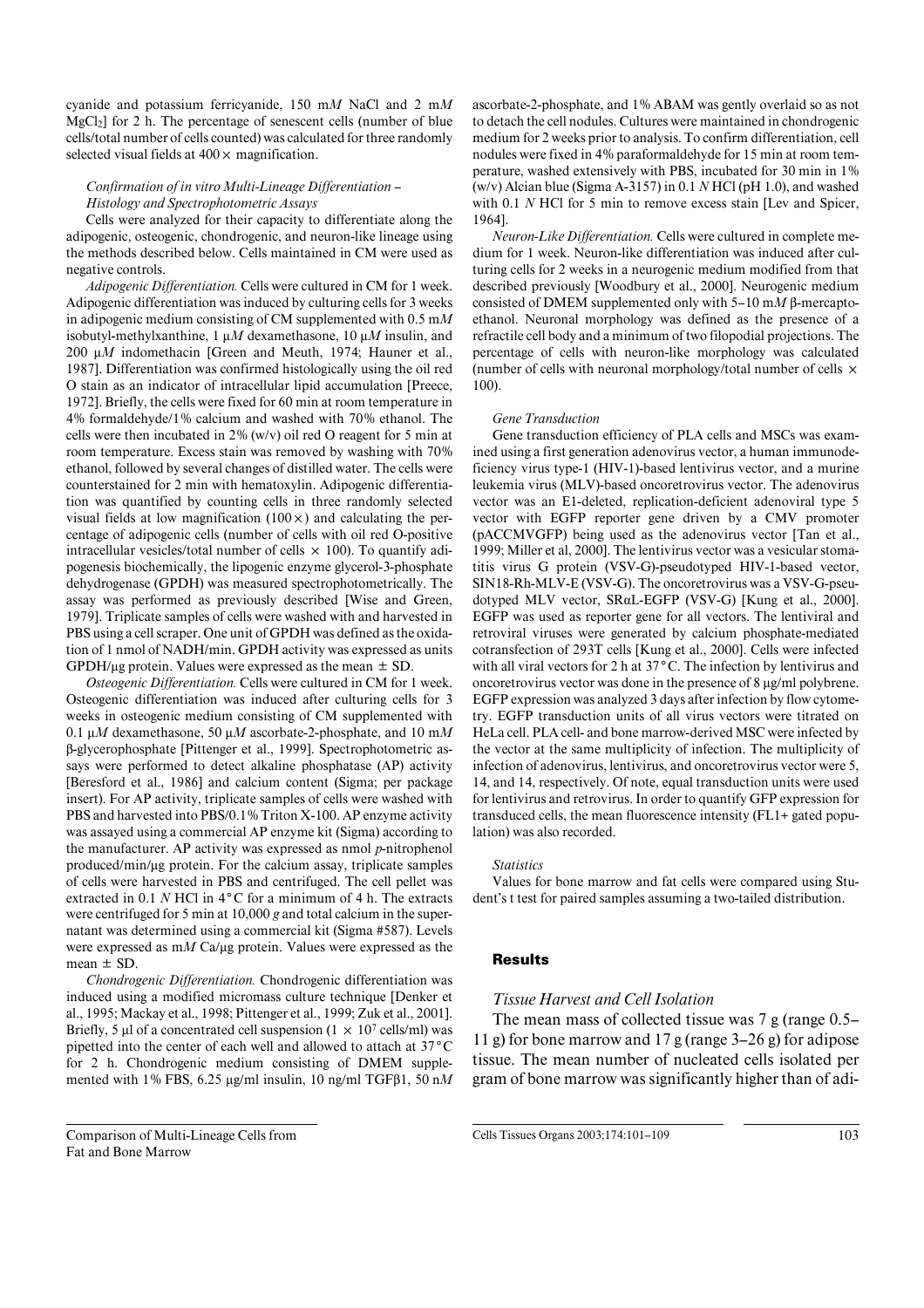cyanide and potassium ferricyanide, 150 m*M* NaCl and 2 m*M*  $MgCl<sub>2</sub>$ ] for 2 h. The percentage of senescent cells (number of blue cells/total number of cells counted) was calculated for three randomly selected visual fields at  $400 \times$  magnification.

#### *Confirmation of in vitro Multi-Lineage Differentiation – Histology and Spectrophotometric Assays*

Cells were analyzed for their capacity to differentiate along the adipogenic, osteogenic, chondrogenic, and neuron-like lineage using the methods described below. Cells maintained in CM were used as negative controls.

*Adipogenic Differentiation.* Cells were cultured in CM for 1 week. Adipogenic differentiation was induced by culturing cells for 3 weeks in adipogenic medium consisting of CM supplemented with 0.5 m*M* isobutyl-methylxanthine, 1  $\mu$ *M* dexamethasone, 10  $\mu$ *M* insulin, and 200  $\mu$ *M* indomethacin [Green and Meuth, 1974; Hauner et al., 1987]. Differentiation was confirmed histologically using the oil red O stain as an indicator of intracellular lipid accumulation [Preece, 1972]. Briefly, the cells were fixed for 60 min at room temperature in 4% formaldehyde/1% calcium and washed with 70% ethanol. The cells were then incubated in 2% (w/v) oil red O reagent for 5 min at room temperature. Excess stain was removed by washing with 70% ethanol, followed by several changes of distilled water. The cells were counterstained for 2 min with hematoxylin. Adipogenic differentiation was quantified by counting cells in three randomly selected visual fields at low magnification  $(100 \times)$  and calculating the percentage of adipogenic cells (number of cells with oil red O-positive intracellular vesicles/total number of cells  $\times$  100). To quantify adipogenesis biochemically, the lipogenic enzyme glycerol-3-phosphate dehydrogenase (GPDH) was measured spectrophotometrically. The assay was performed as previously described [Wise and Green, 1979]. Triplicate samples of cells were washed with and harvested in PBS using a cell scraper. One unit of GPDH was defined as the oxidation of 1 nmol of NADH/min. GPDH activity was expressed as units GPDH/ $\mu$ g protein. Values were expressed as the mean  $\pm$  SD.

*Osteogenic Differentiation.* Cells were cultured in CM for 1 week. Osteogenic differentiation was induced after culturing cells for 3 weeks in osteogenic medium consisting of CM supplemented with 0.1  $\mu$ *M* dexamethasone, 50  $\mu$ *M* ascorbate-2-phosphate, and 10 m*M* ß-glycerophosphate [Pittenger et al., 1999]. Spectrophotometric assays were performed to detect alkaline phosphatase (AP) activity [Beresford et al., 1986] and calcium content (Sigma; per package insert). For AP activity, triplicate samples of cells were washed with PBS and harvested into PBS/0.1% Triton X-100. AP enzyme activity was assayed using a commercial AP enzyme kit (Sigma) according to the manufacturer. AP activity was expressed as nmol *p*-nitrophenol produced/min/µg protein. For the calcium assay, triplicate samples of cells were harvested in PBS and centrifuged. The cell pellet was extracted in 0.1 *N* HCl in 4**°**C for a minimum of 4 h. The extracts were centrifuged for 5 min at 10,000 *g* and total calcium in the supernatant was determined using a commercial kit (Sigma #587). Levels were expressed as  $mM$  Ca/ $\mu$ g protein. Values were expressed as the mean  $\pm$  SD.

*Chondrogenic Differentiation.* Chondrogenic differentiation was induced using a modified micromass culture technique [Denker et al., 1995; Mackay et al., 1998; Pittenger et al., 1999; Zuk et al., 2001]. Briefly, 5 µl of a concentrated cell suspension (1  $\times$  10<sup>7</sup> cells/ml) was pipetted into the center of each well and allowed to attach at 37**°**C for 2 h. Chondrogenic medium consisting of DMEM supplemented with 1% FBS,  $6.25 \mu g/ml$  insulin, 10 ng/ml TGF $\beta$ 1, 50 n*M* 

Comparison of Multi-Lineage Cells from Fat and Bone Marrow

ascorbate-2-phosphate, and 1% ABAM was gently overlaid so as not to detach the cell nodules. Cultures were maintained in chondrogenic medium for 2 weeks prior to analysis. To confirm differentiation, cell nodules were fixed in 4% paraformaldehyde for 15 min at room temperature, washed extensively with PBS, incubated for 30 min in 1% (w/v) Alcian blue (Sigma A-3157) in 0.1 *N* HCl (pH 1.0), and washed with 0.1 *N* HCl for 5 min to remove excess stain [Lev and Spicer, 1964].

*Neuron-Like Differentiation.* Cells were cultured in complete medium for 1 week. Neuron-like differentiation was induced after culturing cells for 2 weeks in a neurogenic medium modified from that described previously [Woodbury et al., 2000]. Neurogenic medium consisted of DMEM supplemented only with 5–10 m*M* ß-mercaptoethanol. Neuronal morphology was defined as the presence of a refractile cell body and a minimum of two filopodial projections. The percentage of cells with neuron-like morphology was calculated (number of cells with neuronal morphology/total number of cells  $\times$ 100).

#### *Gene Transduction*

Gene transduction efficiency of PLA cells and MSCs was examined using a first generation adenovirus vector, a human immunodeficiency virus type-1 (HIV-1)-based lentivirus vector, and a murine leukemia virus (MLV)-based oncoretrovirus vector. The adenovirus vector was an E1-deleted, replication-deficient adenoviral type 5 vector with EGFP reporter gene driven by a CMV promoter (pACCMVGFP) being used as the adenovirus vector [Tan et al., 1999; Miller et al, 2000]. The lentivirus vector was a vesicular stomatitis virus G protein (VSV-G)-pseudotyped HIV-1-based vector, SIN18-Rh-MLV-E (VSV-G). The oncoretrovirus was a VSV-G-pseudotyped MLV vector, SRaL-EGFP (VSV-G) [Kung et al., 2000]. EGFP was used as reporter gene for all vectors. The lentiviral and retroviral viruses were generated by calcium phosphate-mediated cotransfection of 293T cells [Kung et al., 2000]. Cells were infected with all viral vectors for 2 h at 37**°**C. The infection by lentivirus and oncoretrovirus vector was done in the presence of  $8 \mu g/ml$  polybrene. EGFP expression was analyzed 3 days after infection by flow cytometry. EGFP transduction units of all virus vectors were titrated on HeLa cell. PLA cell- and bone marrow-derived MSC were infected by the vector at the same multiplicity of infection. The multiplicity of infection of adenovirus, lentivirus, and oncoretrovirus vector were 5, 14, and 14, respectively. Of note, equal transduction units were used for lentivirus and retrovirus. In order to quantify GFP expression for transduced cells, the mean fluorescence intensity (FL1+ gated population) was also recorded.

#### *Statistics*

Values for bone marrow and fat cells were compared using Student's t test for paired samples assuming a two-tailed distribution.

## **Results**

## *Tissue Harvest and Cell Isolation*

The mean mass of collected tissue was 7 g (range 0.5– 11 g) for bone marrow and 17 g (range 3–26 g) for adipose tissue. The mean number of nucleated cells isolated per gram of bone marrow was significantly higher than of adi-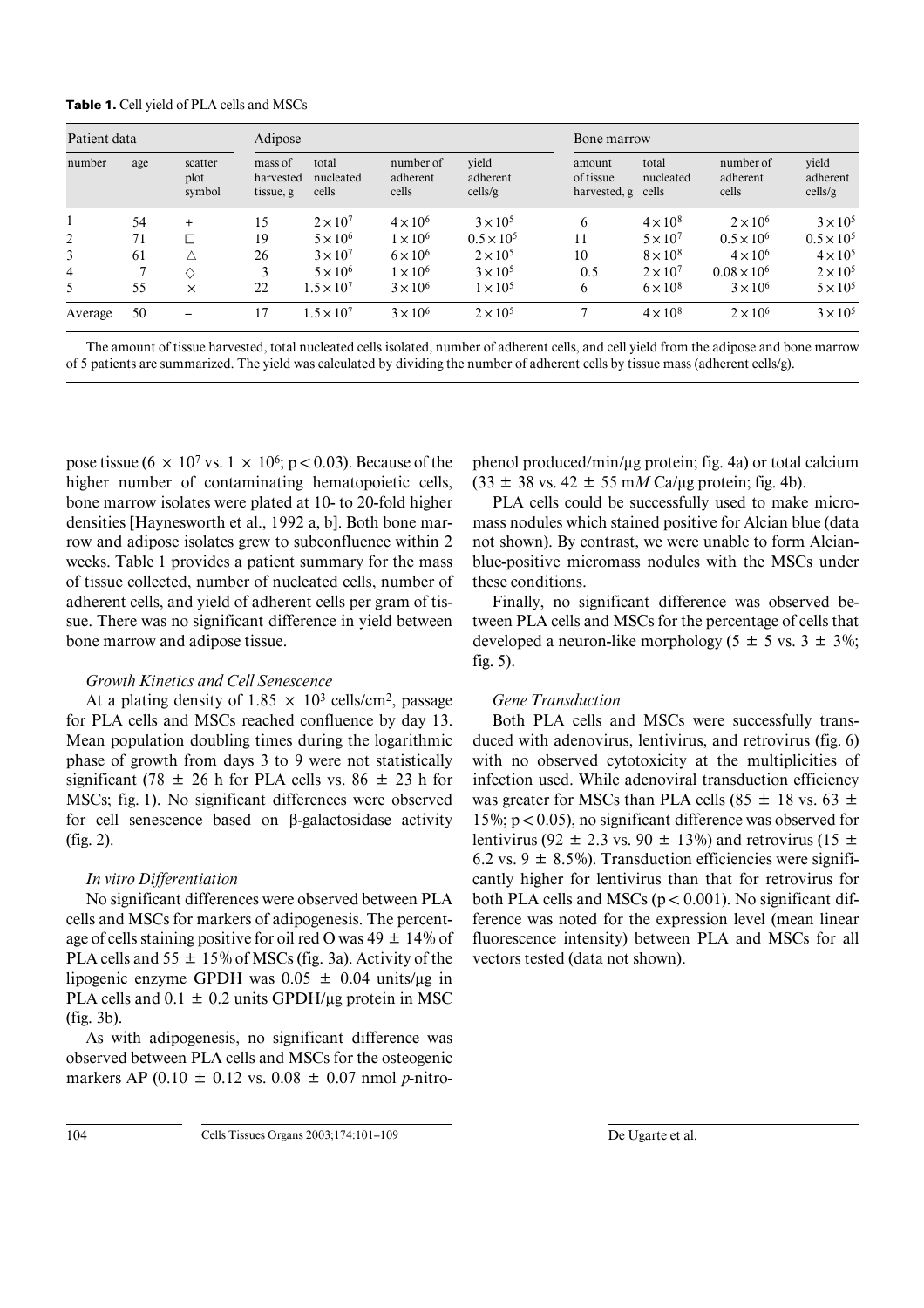| <b>Table 1.</b> Cell yield of PLA cells and MSCs |  |  |
|--------------------------------------------------|--|--|
|--------------------------------------------------|--|--|

| Patient data   |     |                           | Adipose                           |                             |                                |                              | Bone marrow                         |                             |                                |                              |
|----------------|-----|---------------------------|-----------------------------------|-----------------------------|--------------------------------|------------------------------|-------------------------------------|-----------------------------|--------------------------------|------------------------------|
| number         | age | scatter<br>plot<br>symbol | mass of<br>harvested<br>tissue, g | total<br>nucleated<br>cells | number of<br>adherent<br>cells | vield<br>adherent<br>cells/g | amount<br>of tissue<br>harvested, g | total<br>nucleated<br>cells | number of<br>adherent<br>cells | vield<br>adherent<br>cells/g |
|                | 54  | $+$                       | 15                                | $2 \times 10^7$             | $4 \times 10^6$                | $3 \times 10^5$              | 6                                   | $4 \times 10^8$             | $2 \times 10^6$                | $3 \times 10^5$              |
| 2              | 71  |                           | 19                                | $5 \times 10^6$             | $1 \times 10^6$                | $0.5 \times 10^{5}$          | 11                                  | $5 \times 10^7$             | $0.5 \times 10^{6}$            | $0.5 \times 10^{5}$          |
| 3              | 61  | Δ                         | 26                                | $3 \times 10^7$             | $6 \times 10^6$                | $2 \times 10^5$              | 10                                  | $8 \times 10^8$             | $4 \times 10^6$                | $4 \times 10^5$              |
| $\overline{4}$ |     | ♦                         |                                   | $5 \times 10^6$             | $1 \times 10^6$                | $3 \times 10^5$              | 0.5                                 | $2 \times 10^7$             | $0.08 \times 10^{6}$           | $2 \times 10^5$              |
| 5              | 55  | $\times$                  | 22                                | $1.5 \times 10^{7}$         | $3 \times 10^6$                | $1 \times 10^5$              | 6                                   | $6 \times 10^8$             | $3 \times 10^6$                | $5 \times 10^5$              |
| Average        | 50  |                           | 17                                | $1.5 \times 10^{7}$         | $3 \times 10^6$                | $2 \times 10^5$              |                                     | $4 \times 10^8$             | $2 \times 10^6$                | $3 \times 10^5$              |

The amount of tissue harvested, total nucleated cells isolated, number of adherent cells, and cell yield from the adipose and bone marrow of 5 patients are summarized. The yield was calculated by dividing the number of adherent cells by tissue mass (adherent cells/g).

pose tissue (6  $\times$  10<sup>7</sup> vs. 1  $\times$  10<sup>6</sup>; p < 0.03). Because of the higher number of contaminating hematopoietic cells, bone marrow isolates were plated at 10- to 20-fold higher densities [Haynesworth et al., 1992 a, b]. Both bone marrow and adipose isolates grew to subconfluence within 2 weeks. Table 1 provides a patient summary for the mass of tissue collected, number of nucleated cells, number of adherent cells, and yield of adherent cells per gram of tissue. There was no significant difference in yield between bone marrow and adipose tissue.

## *Growth Kinetics and Cell Senescence*

At a plating density of 1.85  $\times$  10<sup>3</sup> cells/cm<sup>2</sup>, passage for PLA cells and MSCs reached confluence by day 13. Mean population doubling times during the logarithmic phase of growth from days 3 to 9 were not statistically significant (78  $\pm$  26 h for PLA cells vs. 86  $\pm$  23 h for MSCs; fig. 1). No significant differences were observed for cell senescence based on ß-galactosidase activity (fig. 2).

## *In vitro Differentiation*

No significant differences were observed between PLA cells and MSCs for markers of adipogenesis. The percentage of cells staining positive for oil red O was  $49 \pm 14\%$  of PLA cells and  $55 \pm 15\%$  of MSCs (fig. 3a). Activity of the lipogenic enzyme GPDH was  $0.05 \pm 0.04$  units/ $\mu$ g in PLA cells and  $0.1 \pm 0.2$  units GPDH/ $\mu$ g protein in MSC (fig. 3b).

As with adipogenesis, no significant difference was observed between PLA cells and MSCs for the osteogenic markers AP (0.10  $\pm$  0.12 vs. 0.08  $\pm$  0.07 nmol *p*-nitro-

phenol produced/min/µg protein; fig. 4a) or total calcium  $(33 \pm 38 \text{ vs. } 42 \pm 55 \text{ m}M \text{ Ca}/\mu\text{g} \text{ protein}; \text{fig. } 4b).$ 

PLA cells could be successfully used to make micromass nodules which stained positive for Alcian blue (data not shown). By contrast, we were unable to form Alcianblue-positive micromass nodules with the MSCs under these conditions.

Finally, no significant difference was observed between PLA cells and MSCs for the percentage of cells that developed a neuron-like morphology (5  $\pm$  5 vs. 3  $\pm$  3%; fig. 5).

## *Gene Transduction*

Both PLA cells and MSCs were successfully transduced with adenovirus, lentivirus, and retrovirus (fig. 6) with no observed cytotoxicity at the multiplicities of infection used. While adenoviral transduction efficiency was greater for MSCs than PLA cells (85  $\pm$  18 vs. 63  $\pm$ 15%;  $p < 0.05$ ), no significant difference was observed for lentivirus (92  $\pm$  2.3 vs. 90  $\pm$  13%) and retrovirus (15  $\pm$ 6.2 vs. 9  $\pm$  8.5%). Transduction efficiencies were significantly higher for lentivirus than that for retrovirus for both PLA cells and MSCs ( $p < 0.001$ ). No significant difference was noted for the expression level (mean linear fluorescence intensity) between PLA and MSCs for all vectors tested (data not shown).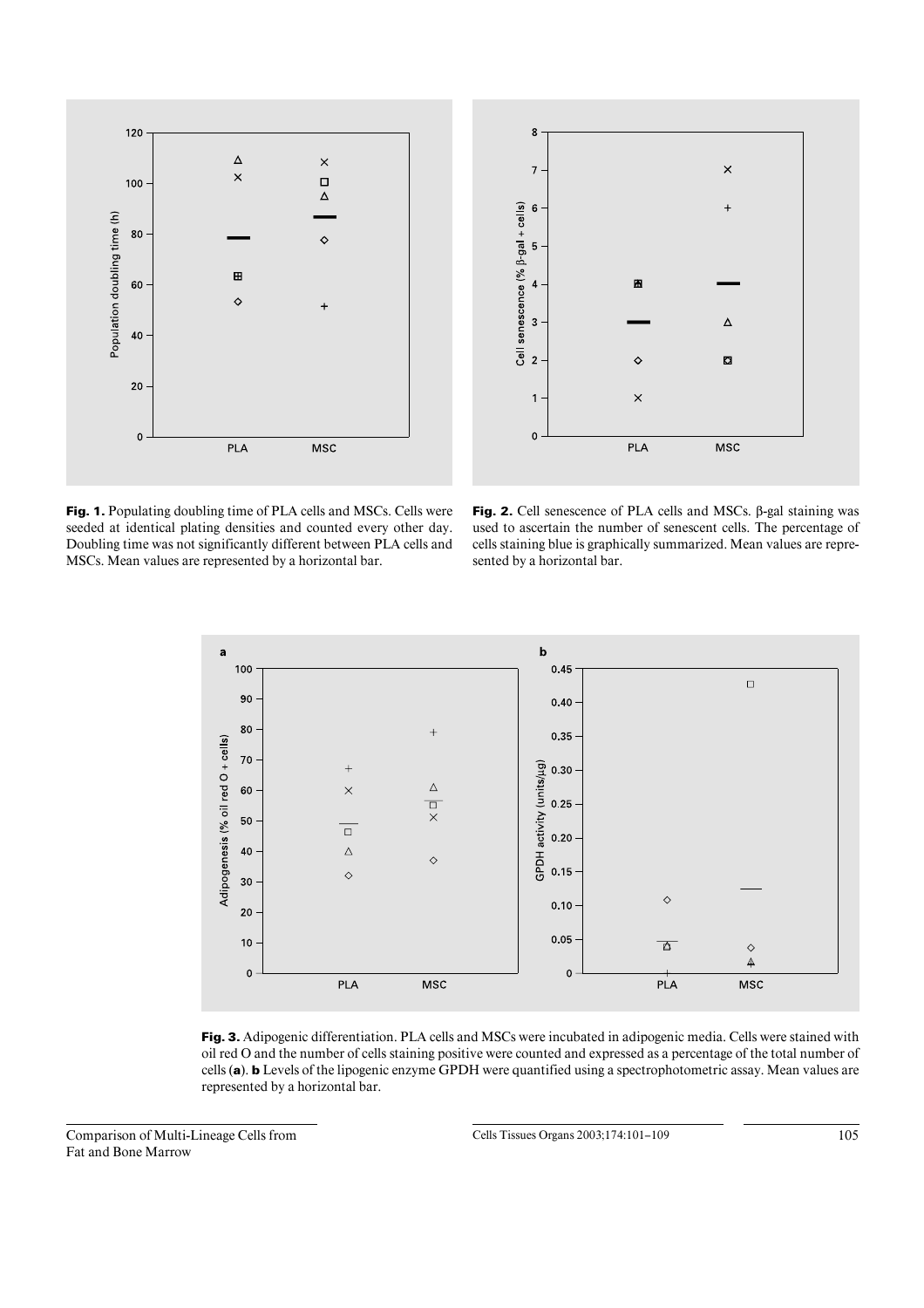



Fig. 1. Populating doubling time of PLA cells and MSCs. Cells were seeded at identical plating densities and counted every other day. Doubling time was not significantly different between PLA cells and MSCs. Mean values are represented by a horizontal bar.

**Fig. 2.** Cell senescence of PLA cells and MSCs. ß-gal staining was used to ascertain the number of senescent cells. The percentage of cells staining blue is graphically summarized. Mean values are represented by a horizontal bar.



**Fig. 3.** Adipogenic differentiation. PLA cells and MSCs were incubated in adipogenic media. Cells were stained with oil red O and the number of cells staining positive were counted and expressed as a percentage of the total number of cells (**a**). **b** Levels of the lipogenic enzyme GPDH were quantified using a spectrophotometric assay. Mean values are represented by a horizontal bar.

Comparison of Multi-Lineage Cells from Fat and Bone Marrow

Cells Tissues Organs 2003;174:101-109 105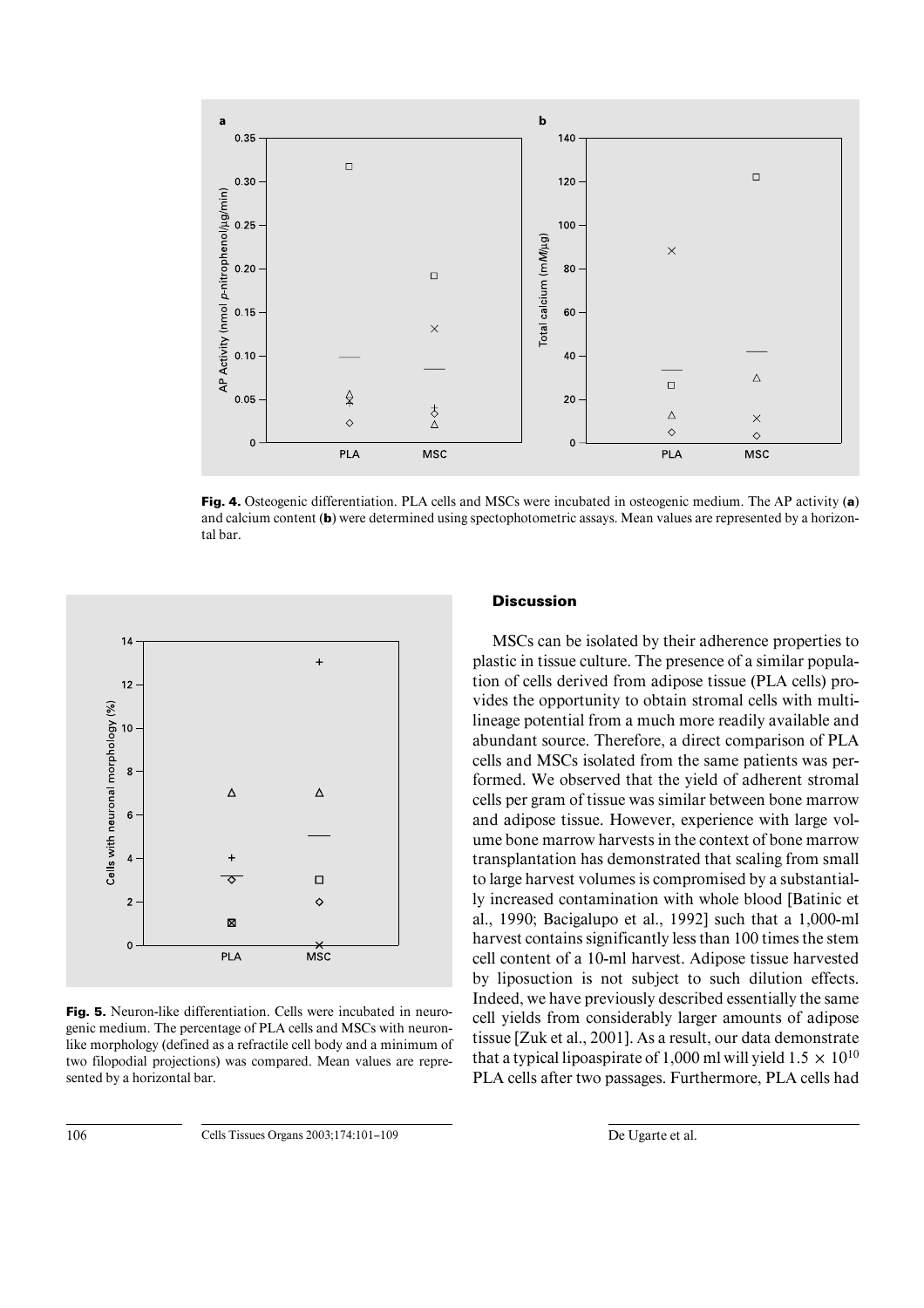

**Fig. 4.** Osteogenic differentiation. PLA cells and MSCs were incubated in osteogenic medium. The AP activity (**a**) and calcium content (**b**) were determined using spectophotometric assays. Mean values are represented by a horizontal bar.



**Fig. 5.** Neuron-like differentiation. Cells were incubated in neurogenic medium. The percentage of PLA cells and MSCs with neuronlike morphology (defined as a refractile cell body and a minimum of two filopodial projections) was compared. Mean values are represented by a horizontal bar.

# **Discussion**

MSCs can be isolated by their adherence properties to plastic in tissue culture. The presence of a similar population of cells derived from adipose tissue (PLA cells) provides the opportunity to obtain stromal cells with multilineage potential from a much more readily available and abundant source. Therefore, a direct comparison of PLA cells and MSCs isolated from the same patients was performed. We observed that the yield of adherent stromal cells per gram of tissue was similar between bone marrow and adipose tissue. However, experience with large volume bone marrow harvests in the context of bone marrow transplantation has demonstrated that scaling from small to large harvest volumes is compromised by a substantially increased contamination with whole blood [Batinic et al., 1990; Bacigalupo et al., 1992] such that a 1,000-ml harvest contains significantly less than 100 times the stem cell content of a 10-ml harvest. Adipose tissue harvested by liposuction is not subject to such dilution effects. Indeed, we have previously described essentially the same cell yields from considerably larger amounts of adipose tissue [Zuk et al., 2001]. As a result, our data demonstrate that a typical lipoaspirate of 1,000 ml will yield  $1.5 \times 10^{10}$ PLA cells after two passages. Furthermore, PLA cells had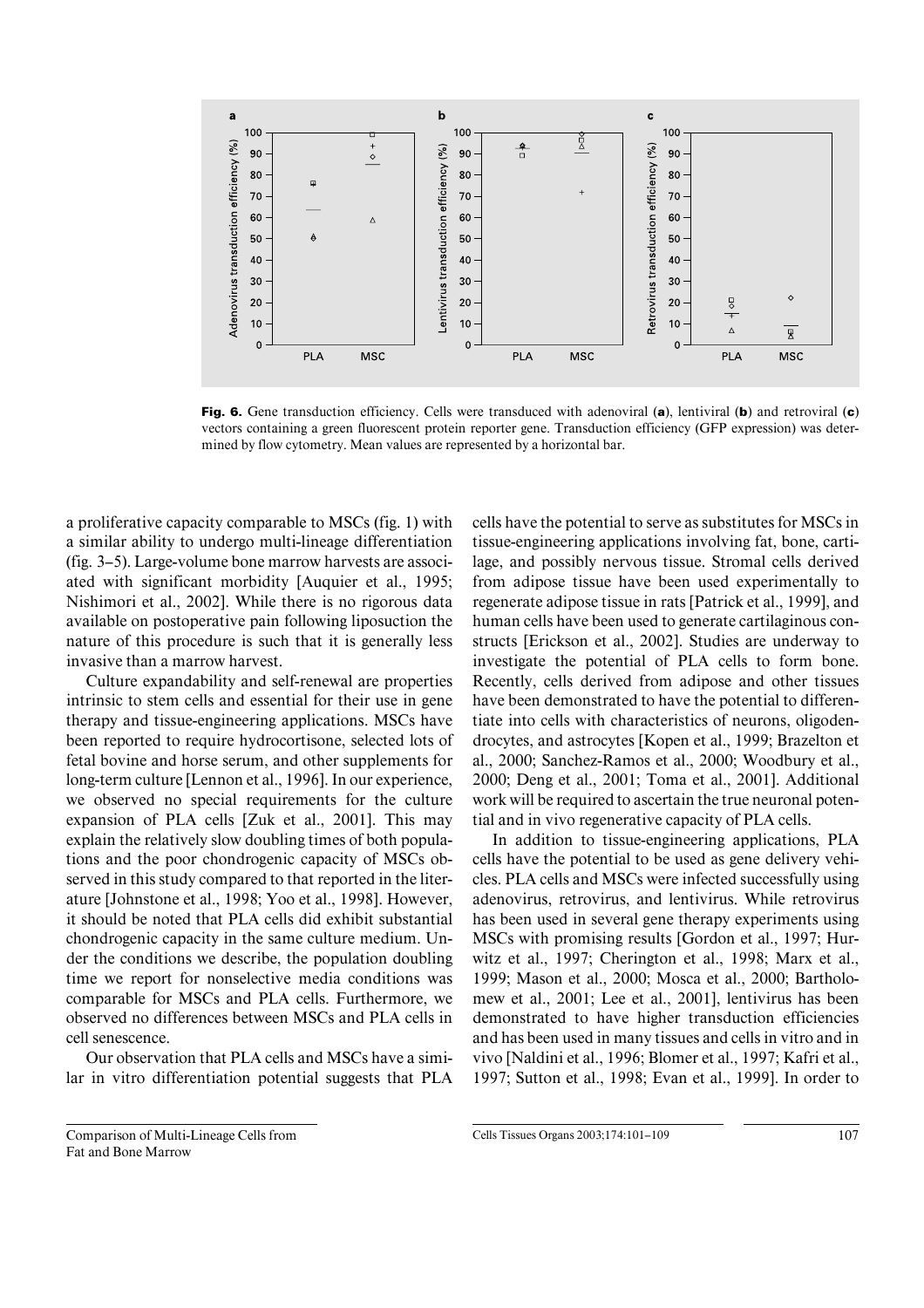

**Fig. 6.** Gene transduction efficiency. Cells were transduced with adenoviral (**a**), lentiviral (**b**) and retroviral (**c**) vectors containing a green fluorescent protein reporter gene. Transduction efficiency (GFP expression) was determined by flow cytometry. Mean values are represented by a horizontal bar.

a proliferative capacity comparable to MSCs (fig. 1) with a similar ability to undergo multi-lineage differentiation (fig. 3–5). Large-volume bone marrow harvests are associated with significant morbidity [Auquier et al., 1995; Nishimori et al., 2002]. While there is no rigorous data available on postoperative pain following liposuction the nature of this procedure is such that it is generally less invasive than a marrow harvest.

Culture expandability and self-renewal are properties intrinsic to stem cells and essential for their use in gene therapy and tissue-engineering applications. MSCs have been reported to require hydrocortisone, selected lots of fetal bovine and horse serum, and other supplements for long-term culture [Lennon et al., 1996]. In our experience, we observed no special requirements for the culture expansion of PLA cells [Zuk et al., 2001]. This may explain the relatively slow doubling times of both populations and the poor chondrogenic capacity of MSCs observed in this study compared to that reported in the literature [Johnstone et al., 1998; Yoo et al., 1998]. However, it should be noted that PLA cells did exhibit substantial chondrogenic capacity in the same culture medium. Under the conditions we describe, the population doubling time we report for nonselective media conditions was comparable for MSCs and PLA cells. Furthermore, we observed no differences between MSCs and PLA cells in cell senescence.

Our observation that PLA cells and MSCs have a similar in vitro differentiation potential suggests that PLA

Comparison of Multi-Lineage Cells from Fat and Bone Marrow

cells have the potential to serve as substitutes for MSCs in tissue-engineering applications involving fat, bone, cartilage, and possibly nervous tissue. Stromal cells derived from adipose tissue have been used experimentally to regenerate adipose tissue in rats [Patrick et al., 1999], and human cells have been used to generate cartilaginous constructs [Erickson et al., 2002]. Studies are underway to investigate the potential of PLA cells to form bone. Recently, cells derived from adipose and other tissues have been demonstrated to have the potential to differentiate into cells with characteristics of neurons, oligodendrocytes, and astrocytes [Kopen et al., 1999; Brazelton et al., 2000; Sanchez-Ramos et al., 2000; Woodbury et al., 2000; Deng et al., 2001; Toma et al., 2001]. Additional work will be required to ascertain the true neuronal potential and in vivo regenerative capacity of PLA cells.

In addition to tissue-engineering applications, PLA cells have the potential to be used as gene delivery vehicles. PLA cells and MSCs were infected successfully using adenovirus, retrovirus, and lentivirus. While retrovirus has been used in several gene therapy experiments using MSCs with promising results [Gordon et al., 1997; Hurwitz et al., 1997; Cherington et al., 1998; Marx et al., 1999; Mason et al., 2000; Mosca et al., 2000; Bartholomew et al., 2001; Lee et al., 2001], lentivirus has been demonstrated to have higher transduction efficiencies and has been used in many tissues and cells in vitro and in vivo [Naldini et al., 1996; Blomer et al., 1997; Kafri et al., 1997; Sutton et al., 1998; Evan et al., 1999]. In order to

Cells Tissues Organs 2003:174:101-109 107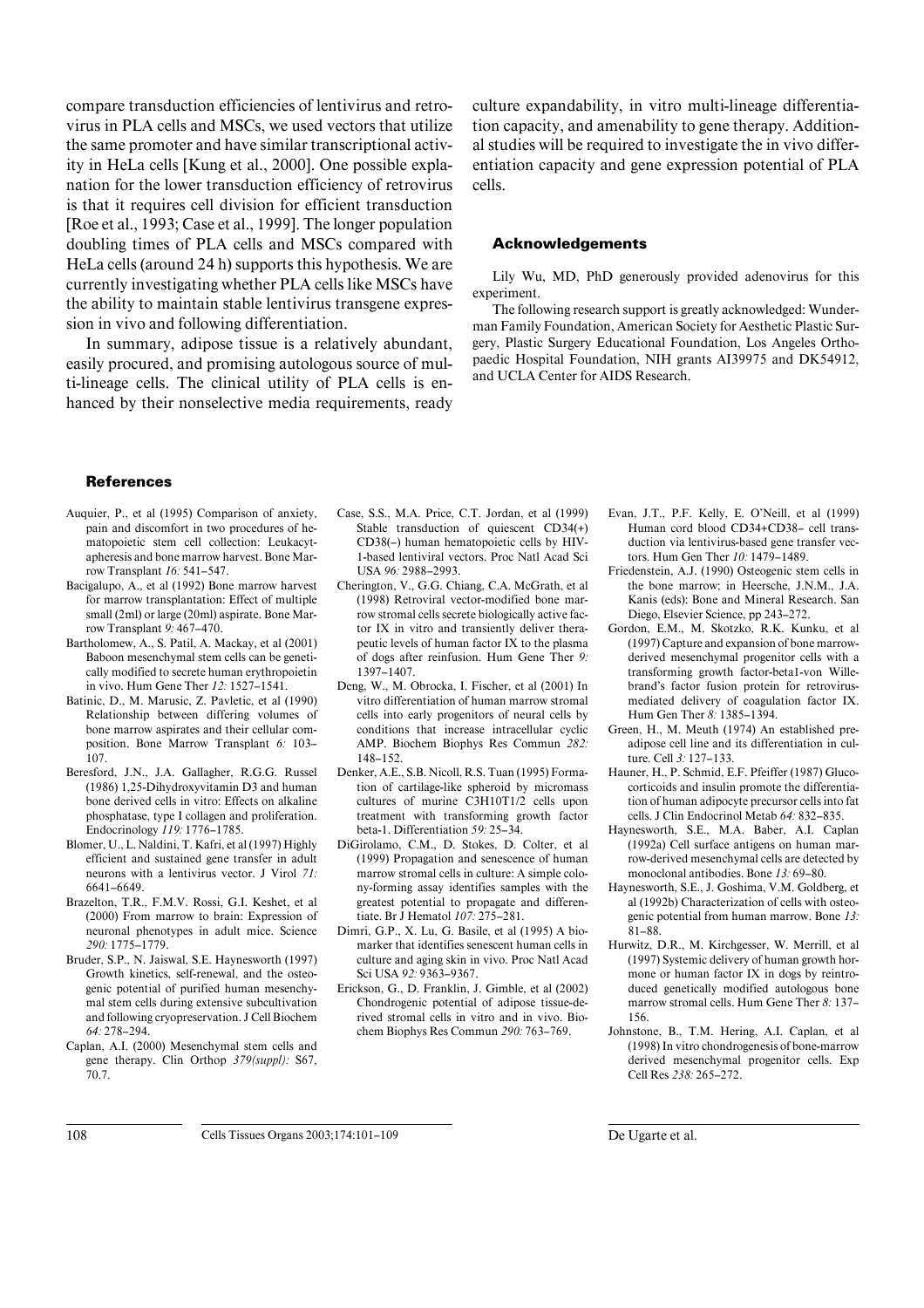compare transduction efficiencies of lentivirus and retrovirus in PLA cells and MSCs, we used vectors that utilize the same promoter and have similar transcriptional activity in HeLa cells [Kung et al., 2000]. One possible explanation for the lower transduction efficiency of retrovirus is that it requires cell division for efficient transduction [Roe et al., 1993; Case et al., 1999]. The longer population doubling times of PLA cells and MSCs compared with HeLa cells (around 24 h) supports this hypothesis. We are currently investigating whether PLA cells like MSCs have the ability to maintain stable lentivirus transgene expression in vivo and following differentiation.

In summary, adipose tissue is a relatively abundant, easily procured, and promising autologous source of multi-lineage cells. The clinical utility of PLA cells is enhanced by their nonselective media requirements, ready culture expandability, in vitro multi-lineage differentiation capacity, and amenability to gene therapy. Additional studies will be required to investigate the in vivo differentiation capacity and gene expression potential of PLA cells.

## **Acknowledgements**

Lily Wu, MD, PhD generously provided adenovirus for this experiment.

The following research support is greatly acknowledged: Wunderman Family Foundation, American Society for Aesthetic Plastic Surgery, Plastic Surgery Educational Foundation, Los Angeles Orthopaedic Hospital Foundation, NIH grants AI39975 and DK54912, and UCLA Center for AIDS Research.

#### **References**

- Auquier, P., et al (1995) Comparison of anxiety, pain and discomfort in two procedures of hematopoietic stem cell collection: Leukacytapheresis and bone marrow harvest. Bone Marrow Transplant *16:* 541–547.
- Bacigalupo, A., et al (1992) Bone marrow harvest for marrow transplantation: Effect of multiple small (2ml) or large (20ml) aspirate. Bone Marrow Transplant *9:* 467–470.
- Bartholomew, A., S. Patil, A. Mackay, et al (2001) Baboon mesenchymal stem cells can be genetically modified to secrete human erythropoietin in vivo. Hum Gene Ther *12:* 1527–1541.
- Batinic, D., M. Marusic, Z. Pavletic, et al (1990) Relationship between differing volumes of bone marrow aspirates and their cellular composition. Bone Marrow Transplant *6:* 103– 107.
- Beresford, J.N., J.A. Gallagher, R.G.G. Russel (1986) 1,25-Dihydroxyvitamin D3 and human bone derived cells in vitro: Effects on alkaline phosphatase, type I collagen and proliferation. Endocrinology *119:* 1776–1785.
- Blomer, U., L. Naldini, T. Kafri, et al (1997) Highly efficient and sustained gene transfer in adult neurons with a lentivirus vector. J Virol *71:* 6641–6649.
- Brazelton, T.R., F.M.V. Rossi, G.I. Keshet, et al (2000) From marrow to brain: Expression of neuronal phenotypes in adult mice. Science *290:* 1775–1779.
- Bruder, S.P., N. Jaiswal, S.E. Haynesworth (1997) Growth kinetics, self-renewal, and the osteogenic potential of purified human mesenchymal stem cells during extensive subcultivation and following cryopreservation. J Cell Biochem *64:* 278–294.
- Caplan, A.I. (2000) Mesenchymal stem cells and gene therapy. Clin Orthop *379(suppl):* S67, 70.7.
- Case, S.S., M.A. Price, C.T. Jordan, et al (1999) Stable transduction of quiescent CD34(+) CD38(–) human hematopoietic cells by HIV-1-based lentiviral vectors. Proc Natl Acad Sci USA *96:* 2988–2993.
- Cherington, V., G.G. Chiang, C.A. McGrath, et al (1998) Retroviral vector-modified bone marrow stromal cells secrete biologically active factor IX in vitro and transiently deliver therapeutic levels of human factor IX to the plasma of dogs after reinfusion. Hum Gene Ther *9:* 1397–1407.
- Deng, W., M. Obrocka, I. Fischer, et al (2001) In vitro differentiation of human marrow stromal cells into early progenitors of neural cells by conditions that increase intracellular cyclic AMP. Biochem Biophys Res Commun *282:* 148–152.
- Denker, A.E., S.B. Nicoll, R.S. Tuan (1995) Formation of cartilage-like spheroid by micromass cultures of murine C3H10T1/2 cells upon treatment with transforming growth factor beta-1. Differentiation *59:* 25–34.
- DiGirolamo, C.M., D. Stokes, D. Colter, et al (1999) Propagation and senescence of human marrow stromal cells in culture: A simple colony-forming assay identifies samples with the greatest potential to propagate and differentiate. Br J Hematol *107:* 275–281.
- Dimri, G.P., X. Lu, G. Basile, et al (1995) A biomarker that identifies senescent human cells in culture and aging skin in vivo. Proc Natl Acad Sci USA *92:* 9363–9367.
- Erickson, G., D. Franklin, J. Gimble, et al (2002) Chondrogenic potential of adipose tissue-derived stromal cells in vitro and in vivo. Biochem Biophys Res Commun *290:* 763–769.
- Evan, J.T., P.F. Kelly, E. O'Neill, et al (1999) Human cord blood CD34+CD38– cell transduction via lentivirus-based gene transfer vectors. Hum Gen Ther *10:* 1479–1489.
- Friedenstein, A.J. (1990) Osteogenic stem cells in the bone marrow; in Heersche, J.N.M., J.A. Kanis (eds): Bone and Mineral Research. San Diego, Elsevier Science, pp 243–272.
- Gordon, E.M., M. Skotzko, R.K. Kunku, et al (1997) Capture and expansion of bone marrowderived mesenchymal progenitor cells with a transforming growth factor-beta1-von Willebrand's factor fusion protein for retrovirusmediated delivery of coagulation factor IX. Hum Gen Ther *8:* 1385–1394.
- Green, H., M. Meuth (1974) An established preadipose cell line and its differentiation in culture. Cell *3:* 127–133.
- Hauner, H., P. Schmid, E.F. Pfeiffer (1987) Glucocorticoids and insulin promote the differentiation of human adipocyte precursor cells into fat cells. J Clin Endocrinol Metab *64:* 832–835.
- Haynesworth, S.E., M.A. Baber, A.I. Caplan (1992a) Cell surface antigens on human marrow-derived mesenchymal cells are detected by monoclonal antibodies. Bone *13:* 69–80.
- Haynesworth, S.E., J. Goshima, V.M. Goldberg, et al (1992b) Characterization of cells with osteogenic potential from human marrow. Bone *13:* 81–88.
- Hurwitz, D.R., M. Kirchgesser, W. Merrill, et al (1997) Systemic delivery of human growth hormone or human factor IX in dogs by reintroduced genetically modified autologous bone marrow stromal cells. Hum Gene Ther *8:* 137– 156.
- Johnstone, B., T.M. Hering, A.I. Caplan, et al (1998) In vitro chondrogenesis of bone-marrow derived mesenchymal progenitor cells. Exp Cell Res *238:* 265–272.